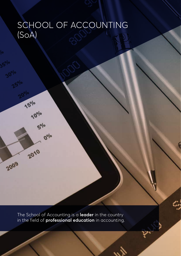# SCHOOL OF ACCOUNTING (SoA)

The School of Accounting is a **leader** in the country in the field of **professional education** in accounting.

rs<br>Sur

2

College of Business and Economics

**2** Annual Report 2017

15%

 $\sqrt{\rho_o|o}$ 

2010

2009

 $5^{\circ|o}$ 

 $Q_o|o$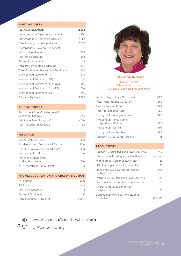#### **INPUT VARIABLES**

| <b>TOTAL ENROLMENT</b>               | 8 3 2 2 |
|--------------------------------------|---------|
| Undergraduate Diploma Headcount      | 2870    |
| Undergraduate Degree Headcount       | 4 1 6 7 |
| Total Undergraduate Headcount        | 7037    |
| Postgraduate Diploma Headcount       | 592     |
| Honours Headcount                    | 184     |
| Master's Headcount                   | 188     |
| Doctoral Headcount                   | 18      |
| <b>Total Postgraduate Headcount</b>  | 982     |
| Total Continuous Programme Enrolment | 303     |
| International Enrolment (UG)         | 473     |
| International Enrolment (PG)         | 46      |
| International Enrolment (% of UG)    | 7%      |
| International Enrolment (% of PG)    | 5%      |
| International Enrolment (%)          | 6%      |
| <b>Full-time Equivalents</b>         | 5 3 8 2 |

#### **STUDENT PROFILE**

| Recruitment from Quintile 1 and 2 |     |
|-----------------------------------|-----|
| Secondary Schools                 | 22% |
| Admission Point Score > 35        | 40% |
| CBE Transformation Index          | 63  |

#### **RESOURCES**

| Senior Lecturer Units                   | 104   |
|-----------------------------------------|-------|
| <b>Academics from Designated Groups</b> | 44%   |
| Full-time Equivalent/Support Staff      | 434   |
| International staff                     | $1\%$ |
| Presence of academics                   |       |
| holding doctorates                      | 8%    |
| 2017 Operations Budget (Rm)             |       |

#### **KNOWLEDGE CREATION AND GRADUATE OUTPUT**

| UG Output                 | 1660  |
|---------------------------|-------|
| PG Below M                | 414   |
| Master's Graduates        | 21    |
| Doctoral Graduates        | Ω     |
| Total Graduate Output (n) | 2.095 |



**Prof Amanda Dempsey**

#### Senior Director School of Accounting College of Business and Economics

| Total Undergraduate Output (%)                   | 79% |
|--------------------------------------------------|-----|
| Total Postgraduate Output (%)                    | 21% |
| Module Success Rate                              | 88% |
| First-year Dropout Rate                          | 12% |
| Throughput: Undergraduates                       | 24% |
| Throughput: Honours and<br>Postgraduate Diplomas | 53% |
| Throughput: Master's                             | 11% |
| Throughput: Doctorates                           | 0%  |
| Research Output (DHET credits)                   | 18  |

#### **PRODUCTIVITY**

| Research Credits per Senior Lecturer Unit          | 0,17                |
|----------------------------------------------------|---------------------|
| International Ranking in the Continent             | Not yet             |
| Workload per Senior Lecturer Unit                  | 52                  |
| UG Output per Senior Lecturer Unit                 | 16                  |
| Hons and PGDip Output per Senior<br>Lecturer Unit  | 3,98                |
| Master's Output per Senior Lecturer Unit           | 0,2                 |
| Doctoral Output per Senior Lecturer Unit           | Ω                   |
| Overall Graduates per Senior<br>Lecturer Unit      | 20                  |
| Budget Intensity / Full-time Student<br>Equivalent | R <sub>20</sub> 586 |

www.uj.ac.za/faculties/cbe/**soa**

UJAccountancy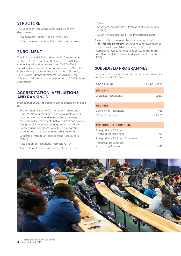## **STRUCTURE**

The School of Accounting (SoA) consists of two departments:

- Accountancy, led by Prof Ben Marx, and
- Commercial Accounting, led by Ms Lulama Boyce.

## **ENROLMENT**

The SoA enrolled 8 322 students in 2017 (representing 32% of total CBE enrolment) of whom 303 (4%) in continuing education programmes, 7 037 (85%) in subsidised undergraduate programmes and 592 (11%) in subsidised postgraduate programmes. Of these, 7% are international enrolments. Accordingly, the School's subsidised enrolments equates to 5 382 full-time equivalents.

### **ACCREDITATION, AFFILIATIONS AND RANKINGS**

Professional bodies accrediting our qualifications include the:

- South African Institute of Chartered Accountants (SAICA). Although SAICA is a national professional body, an international dimension exists by virtue of the reciprocity agreements between itself and several foreign professional accounting bodies that allow South African candidates qualifying as chartered accountants to work in various other countries.
- Chartered Institute of Management Accountants (CIMA)
- Association of Accounting Technicians (AAT)
- Association of Chartered Certified Accountants

#### (ACCA)

- South African Institute of Professional Accountants (SAIPA)
- South African Institute of Tax Practitioners (SAIT)

As far as international affiliations are concerned, **Prof Amanda Dempsey** serves as a committee member of the Consultative Advisory Group (CAG) of the International Accounting Education Standard Board (IAESB) of the International Federation of Accountants (IFAC).

## **SUBSIDISED PROGRAMMES**

Popular and industry-recognised programmes and their enrolment in 2017 follow:

| PROGRAMME                        | ENROLMENT |
|----------------------------------|-----------|
| <b>DIPLOMA</b>                   |           |
| Diploma: Accountancy             | 2619      |
| <b>DEGREES</b>                   |           |
| Bachelor of Accounting           | 465       |
| BCom: Accounting                 | 2007      |
|                                  |           |
| POSTGRADUATE DIPLOMAS            |           |
| Postgraduate Diploma:            |           |
| <b>Financial Management</b>      | 109       |
| Postgraduate Diploma: Accounting | 16.5      |
| Postgraduate Diploma:            |           |
| <b>Accounting Sciences</b>       | 497       |

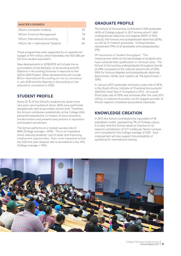| <b>MASTER'S DEGREES</b>           |       |
|-----------------------------------|-------|
| MCom: Computer Auditing           | 29    |
| MCom: Financial Management        | 79    |
| MCom: International Accounting    | 38    |
| MCom: SA + International Taxation | 4 ( ) |

These programmes were supported by an operational budget of R111 million, which translates into R20 586 per full-time student equivalent.

New developments in 2018/2019 will include the recurriculation of the Bachelor of Accounting and PG Diploma in Accounting Sciences in response to the SAICA 2025 Project. Other developments will include BCom International Accounting on-line to commence in July 2018 and the Diploma in Accounting on-line planned to commence in 2020.

## **STUDENT PROFILE**

Some 22 % of the School's students are drawn from very poor communities of whom 40% have performed exceptionally well at secondary school level. Therefore, the School contributes substantially at the College 63rd percentile towards the UJ mission of socio-economic transformation and presents best practice in reputation and student recruitment.

The School performs at a module success rate of 88% (College average = 87%). This is an impressive trend, reducing students' cost of study and improving employment opportunities. Even more impressive is that the SoA first-year dropout rate is recorded at a low 12% (College average = 19%).

## **GRADUATE PROFILE**

The School of Accounting contributed 2 095 graduates (40% of College output) in 2017 among whom 1 660 undergraduate diplomas and degrees (80% of SOA output), 414 honours and postgraduate diplomas (20%), as well as 21 master's graduates. Undergraduates represented 79% of all graduates and postgraduates, 21%.

Of importance is "student throughput". This measurement refers to the percentage of students who have achieved their qualification in minimum time. The School of Accounting undergraduate throughput stands at 24% compared to the national benchmark of 25%, 53% for honours degrees and postgraduate diplomas (benchmark  $=60\%$ ), and master's at 11% (benchmark  $=$ 33%).

In January 2017, graduates achieved a pass rate of 87% in the South African Institute of Chartered Accountants' (SAICA's) Initial Test of Competence (ITC). An overall (final) pass rate of 95% was achieved after the June 2017 sitting. UJ retained its position as the biggest provider of African aspirant chartered accountants nationally.

## **KNOWLEDGE CREATION**

In 2017, the School contributed the equivalent of 18 subsidised credits, representing 7% of College output. It is clear that the School needs to improve on its research contribution of 0,17 credits per Senior Lecturer Unit compared to the College average of 0,90. Such improvement will also support the probability of qualifying for international ranking.

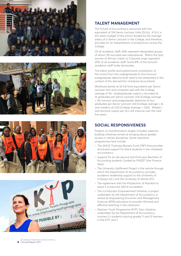







## **TALENT MANAGEMENT**

The School of Accounting is resourced with the equivalent of 104 Senior Lecturer Units (SLUs). A SLU is the salary budget of the school divided by the average salary of a Senior Lecturer in the College, and therefore, provides for an interpretation of productivity across the College.

Of all academic staff, 44% represent designated groups of whom 1% recruited was international. Within the SoA, women of African, Indian or Coloured origin represent 25% of all academic staff. Some 8% of the School's academic staff holds doctorates.

The talent profile and predominant contribution of the school from the undergraduate to the honours/ postgraduate diploma level need to be interpreted in the context of the demand for chartered accountants.

Workload stands at 54 full-time equivalents per Senior Lecturer Unit and compares well with the College average of 54. Undergraduate output is recorded at 16 graduates per Senior Lecturer Unit (College average = 14), honours and postgraduate diplomas at four graduates per Senior Lecturer Unit (College average = 4), and master's at 0,20 (College average = 0,60). Master's and doctoral output per SLU will improve over the next five years.

### **SOCIAL RESPONSIVENESS**

Projects on transformation largely included capacitybuilding initiatives aimed at bringing about greater access in certain disciplines. Some important programmes here include:

- The SAICA Thuthuka Bursary Fund (TBF) that provides structured support for black students in the chartered accountancy.
- Support for at-risk second and third-year Bachelor of Accounting students, funded by FASSET (the Finance Seta).
- The University Upliftment Project is the vehicle through which the Department of Accountancy provides academic leadership support to the University of Limpopo (UL) and the University of Venda (UV).
- The agreement with the Polytechnic of Namibia to assist it to become SAICA accredited.
- The UJ Educator Empowerment Initiative, a project undertaken by the Department of Accountancy, is aimed at empowering Economic and Management Sciences (EMS) educators to provide informed and effective teaching in the classroom.
- Kliptown Youth Programme (KYP) Tutor Initiative, undertaken by the Department of Accountancy, involves UJ students tutoring grades 11 and 12 learners in the KYP; and 7.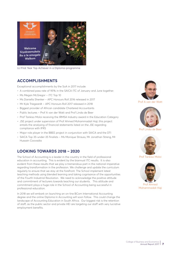

UJ First Year Top Achiever in a Diploma-programme

#### **ACCOMPLISHMENTS**

Exceptional accomplishments by the SoA in 2017 include:

- A combined pass rate of 95% in the SAICA ITC of January and June together.
- Ms Megan McGregor ITC Top 10
- Ms Daniella Shenker APC Honours Roll 2016 released in 2017
- Mr Kyle Triegaardt APC Honours Roll 2017 released in 2018
- Biggest provider of African candidate Chartered Accountants
- Public lectures Prof A van der Watt and Prof Linda de Beer
- Prof Tankiso Moloi receiving the IRMSA Industry award in the Education Category
- JSE project under supervision of Prof Ahmed Mohammadali Haji; this project entails the analysing of financial statements listed on the JSE regarding compliance with IFRS
- Major role player in the BBEE project in conjunction with SAICA and the DTI
- SAICA Top 35-under-35 finalists Ms Monique Strauss, Mr Jonathan Streng, Mr Hussain Coovadia

#### **LOOKING TOWARDS 2018 – 2020**

The School of Accounting is a leader in the country in the field of professional education in accounting. This is evident by the biannual ITC results. It is also evident from these results that we play a tremendous part in the national imperative regarding transformation in the profession. We challenge and update the curriculum regularly to ensure that we stay at the forefront. The School implement latest teaching methods using blended learning and taking cognisance of the opportunities of the Fourth Industrial Revolution. We need to acknowledge the positive attitude and commitment of lecturers towards teaching our students. This attitude and commitment plays a huge role in the School of Accounting being successful in professional education.

In 2018 we will embark on launching an on-line BCom International Accounting degree and the online Diploma in Accounting will soon follow. This could change the landscape of Accounting Education in South Africa. Our biggest risk is the retention of staff, as the public sector and private HEI are targeting our staff with very lucrative employment benefits.



Prof A van der Watt



Prof Linda de Beer



Prof Tankiso Moloi



Prof Ahmed Mohammadali Haji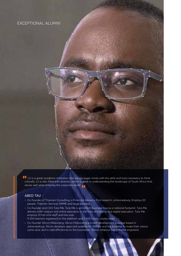## EXCEPTIONAL ALUMNI

UJ is a great academic institution that equips eager minds with the skills and tools necessary to think critically. UJ is also filled with diversity, which is great in understanding the landscape of South Africa that serves well when entering the corporate world.

#### ABED TAU

College of Business and Economics

- Co-founder of Thamani Consulting, a Financial Advisory Firm based in Johannesburg. Employs 20 people. Thamani Services SMME and large business.
- Co-founder and CEO Tuta-Me, Tuta-Me is an EdTech business having a national footprint. Tuta-Me delivers both contact and online education in the form of tutoring and digital education. Tuta-Me employs 10 full-time staff and has over
- 9 000 learners registered on the platform and 2 500 tutors, countrywide.
- Co-founder Silicon Maboneng, Silicon Maboneng is a tech development business based in Johannesburg. Silicon develops apps and systems for SMMEs and big business to make their visions come alive and to add efficiencies to the businesses. Silicon employs five software engineers